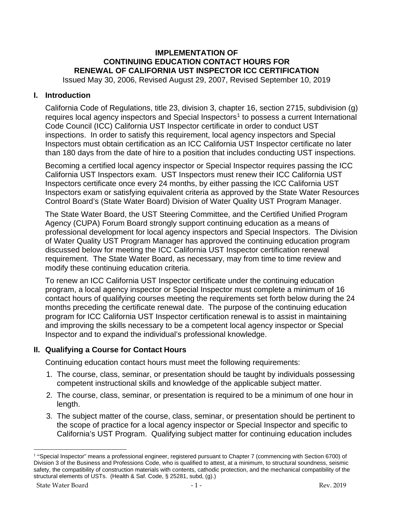# **IMPLEMENTATION OF CONTINUING EDUCATION CONTACT HOURS FOR RENEWAL OF CALIFORNIA UST INSPECTOR ICC CERTIFICATION**

Issued May 30, 2006, Revised August 29, 2007, Revised September 10, 2019

# **I. Introduction**

California Code of Regulations, title 23, division 3, chapter 16, section 2715, subdivision (g) requires local agency inspectors and Special Inspectors<sup>[1](#page-0-0)</sup> to possess a current International Code Council (ICC) California UST Inspector certificate in order to conduct UST inspections. In order to satisfy this requirement, local agency inspectors and Special Inspectors must obtain certification as an ICC California UST Inspector certificate no later than 180 days from the date of hire to a position that includes conducting UST inspections.

Becoming a certified local agency inspector or Special Inspector requires passing the ICC California UST Inspectors exam. UST Inspectors must renew their ICC California UST Inspectors certificate once every 24 months, by either passing the ICC California UST Inspectors exam or satisfying equivalent criteria as approved by the State Water Resources Control Board's (State Water Board) Division of Water Quality UST Program Manager.

The State Water Board, the UST Steering Committee, and the Certified Unified Program Agency (CUPA) Forum Board strongly support continuing education as a means of professional development for local agency inspectors and Special Inspectors. The Division of Water Quality UST Program Manager has approved the continuing education program discussed below for meeting the ICC California UST Inspector certification renewal requirement. The State Water Board, as necessary, may from time to time review and modify these continuing education criteria.

To renew an ICC California UST Inspector certificate under the continuing education program, a local agency inspector or Special Inspector must complete a minimum of 16 contact hours of qualifying courses meeting the requirements set forth below during the 24 months preceding the certificate renewal date. The purpose of the continuing education program for ICC California UST Inspector certification renewal is to assist in maintaining and improving the skills necessary to be a competent local agency inspector or Special Inspector and to expand the individual's professional knowledge.

# **II. Qualifying a Course for Contact Hours**

Continuing education contact hours must meet the following requirements:

- 1. The course, class, seminar, or presentation should be taught by individuals possessing competent instructional skills and knowledge of the applicable subject matter.
- 2. The course, class, seminar, or presentation is required to be a minimum of one hour in length.
- 3. The subject matter of the course, class, seminar, or presentation should be pertinent to the scope of practice for a local agency inspector or Special Inspector and specific to California's UST Program. Qualifying subject matter for continuing education includes

<span id="page-0-0"></span><sup>&</sup>lt;sup>1</sup> "Special Inspector" means a professional engineer, registered pursuant to Chapter 7 (commencing with Section 6700) of Division 3 of the Business and Professions Code, who is qualified to attest, at a minimum, to structural soundness, seismic safety, the compatibility of construction materials with contents, cathodic protection, and the mechanical compatibility of the structural elements of USTs. (Health & Saf. Code, § 25281, subd, (g).)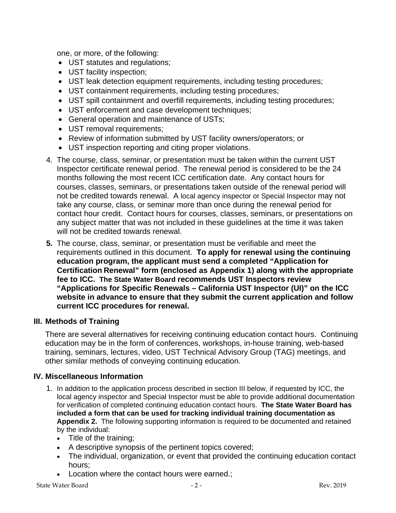one, or more, of the following:

- UST statutes and regulations;
- UST facility inspection;
- UST leak detection equipment requirements, including testing procedures;
- UST containment requirements, including testing procedures;
- UST spill containment and overfill requirements, including testing procedures;
- UST enforcement and case development techniques;
- General operation and maintenance of USTs;
- UST removal requirements;
- Review of information submitted by UST facility owners/operators; or
- UST inspection reporting and citing proper violations.
- 4. The course, class, seminar, or presentation must be taken within the current UST Inspector certificate renewal period. The renewal period is considered to be the 24 months following the most recent ICC certification date. Any contact hours for courses, classes, seminars, or presentations taken outside of the renewal period will not be credited towards renewal. A local agency inspector or Special Inspector may not take any course, class, or seminar more than once during the renewal period for contact hour credit. Contact hours for courses, classes, seminars, or presentations on any subject matter that was not included in these guidelines at the time it was taken will not be credited towards renewal.
- **5.** The course, class, seminar, or presentation must be verifiable and meet the requirements outlined in this document. **To apply for renewal using the continuing education program, the applicant must send a completed "Application for Certification Renewal" form (enclosed as Appendix 1) along with the appropriate fee to ICC. The State Water Board recommends UST Inspectors review "Applications for Specific Renewals – California UST Inspector (UI)" on the ICC website in advance to ensure that they submit the current application and follow current ICC procedures for renewal.**

# **III. Methods of Training**

There are several alternatives for receiving continuing education contact hours. Continuing education may be in the form of conferences, workshops, in-house training, web-based training, seminars, lectures, video, UST Technical Advisory Group (TAG) meetings, and other similar methods of conveying continuing education.

# **IV. Miscellaneous Information**

- 1. In addition to the application process described in section III below, if requested by ICC, the local agency inspector and Special Inspector must be able to provide additional documentation for verification of completed continuing education contact hours. **The State Water Board has included a form that can be used for tracking individual training documentation as Appendix 2.** The following supporting information is required to be documented and retained by the individual:
	- Title of the training;
	- A descriptive synopsis of the pertinent topics covered;
	- The individual, organization, or event that provided the continuing education contact hours;
	- Location where the contact hours were earned.;